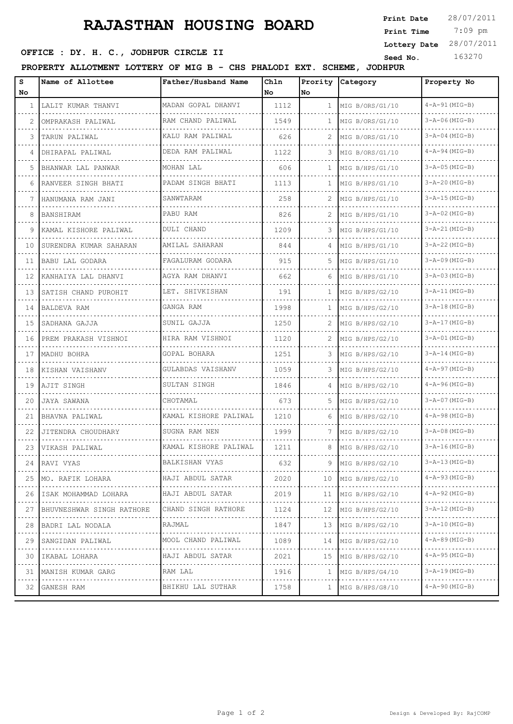## **RAJASTHAN HOUSING BOARD**

## **SEED OFFICE : DY. H. C., JODHPUR CIRCLE II** Seed No. 163270

**PROPERTY ALLOTMENT LOTTERY OF MIG B - CHS PHALODI EXT. SCHEME, JODHPUR**

| s  | Name of Allottee                | Father/Husband Name      | Ch1n | Prority      | Category             | Property No               |
|----|---------------------------------|--------------------------|------|--------------|----------------------|---------------------------|
| No |                                 |                          | l No | No.          |                      |                           |
| 1  | LALIT KUMAR THANVI<br>.         | MADAN GOPAL DHANVI       | 1112 |              | 1   MIG B/ORS/G1/10  | $4 - A - 91$ (MIG-B)      |
|    | OMPRAKASH PALIWAL               | RAM CHAND PALIWAL        | 1549 | $\mathbf{1}$ | MIG B/ORS/G1/10      | $3 - A - 06$ (MIG-B)      |
| 3  | TARUN PALIWAL                   | KALU RAM PALIWAL         | 626  | 2            | MIG B/ORS/G1/10      | $3 - A - 04$ (MIG-B)      |
| 4  | DHIRAPAL PALIWAL                | DEDA RAM PALIWAL         | 1122 | З            | MIG B/ORS/G1/10      | $4 - A - 94$ (MIG-B)      |
| 5  | BHANWAR LAL PANWAR              | MOHAN LAL                | 606  | $\mathbf{1}$ | MIG B/HPS/G1/10      | $3 - A - 05$ (MIG-B)      |
| 6  | RANVEER SINGH BHATI             | PADAM SINGH BHATI        | 1113 | $\mathbf{1}$ | MIG B/HPS/G1/10      | $3 - A - 20$ (MIG-B)      |
| 7  | HANUMANA RAM JANI               | SANWTARAM                | 258  | 2            | MIG B/HPS/G1/10      | $3 - A - 15$ (MIG-B)      |
| 8  | BANSHIRAM                       | PABU RAM                 | 826  |              | MIG B/HPS/G1/10      | $3 - A - 02$ (MIG-B)      |
| 9. | KAMAL KISHORE PALIWAL<br>.      | DULI CHAND               | 1209 | 3            | MIG B/HPS/G1/10      | $3 - A - 21$ (MIG-B)      |
| 10 | SURENDRA KUMAR SAHARAN          | AMILAL SAHARAN           | 844  | 4            | MIG B/HPS/G1/10      | $3 - A - 22$ (MIG-B)      |
| 11 | BABU LAL GODARA                 | FAGALURAM GODARA         | 915  | 5.           | MIG B/HPS/G1/10      | $3 - A - 09$ (MIG-B)      |
| 12 | KANHAIYA LAL DHANVI             | AGYA RAM DHANVI          | 662  | 6            | MIG B/HPS/G1/10      | $3 - A - 03$ (MIG-B)      |
| 13 | SATISH CHAND PUROHIT            | LET. SHIVKISHAN          | 191  | $\mathbf{1}$ | MIG B/HPS/G2/10      | $3 - A - 11$ (MIG-B)      |
| 14 | BALDEVA RAM                     | GANGA RAM                | 1998 | $\mathbf{1}$ | MIG B/HPS/G2/10      | $3 - A - 18$ (MIG-B)      |
| 15 | SADHANA GAJJA                   | SUNIL GAJJA              | 1250 | 2            | MIG B/HPS/G2/10      | $3 - A - 17$ (MIG-B)      |
| 16 | PREM PRAKASH VISHNOI            | HIRA RAM VISHNOI         | 1120 | 2            | MIG B/HPS/G2/10      | $3 - A - 01$ (MIG-B)      |
| 17 | MADHU BOHRA                     | GOPAL BOHARA             | 1251 | 3            | MIG B/HPS/G2/10      | $3 - A - 14$ (MIG-B)      |
| 18 | KISHAN VAISHANV                 | GULABDAS VAISHANV        | 1059 | 3            | MIG B/HPS/G2/10      | $4 - A - 97$ (MIG-B)      |
| 19 | AJIT SINGH                      | SULTAN SINGH             | 1846 | 4            | MIG B/HPS/G2/10      | $4 - A - 96$ (MIG-B)      |
| 20 | JAYA SAWANA                     | CHOTAMAL                 | 673  | 5            | MIG B/HPS/G2/10      | $3 - A - 07$ (MIG-B)      |
| 21 | BHAVNA PALIWAL                  | KAMAL KISHORE PALIWAL    | 1210 | 6            | MIG B/HPS/G2/10      | $4 - A - 98$ (MIG-B)      |
| 22 | JITENDRA CHOUDHARY              | SUGNA RAM NEN            | 1999 | 7            | MIG B/HPS/G2/10      | $3 - A - 08$ (MIG-B)      |
| 23 | VIKASH PALIWAL                  | KAMAL KISHORE PALIWAL    | 1211 | 8            | MIG B/HPS/G2/10      | $3 - A - 16$ (MIG-B)      |
|    | 24   RAVI VYAS                  | BALKISHAN VYAS           | 632  |              | 9 $MIG B/HPS/G2/10$  | $3 - A - 13$ (MIG-B)      |
| 25 | MO. RAFIK LOHARA                | HAJI ABDUL SATAR         | 2020 |              | $10$ MIG B/HPS/G2/10 | $4 - A - 93$ (MIG-B)      |
| 26 | .<br>ISAK MOHAMMAD LOHARA       | HAJI ABDUL SATAR         | 2019 | 11           | MIG B/HPS/G2/10      | $4 - A - 92$ (MIG-B)      |
| 27 | .<br>BHUVNESHWAR SINGH RATHORE  | .<br>CHAND SINGH RATHORE | 1124 |              | 12 $MIG B/HPS/G2/10$ | $3 - A - 12$ (MIG-B)      |
| 28 | BADRI LAL NODALA                | RAJMAL                   | 1847 |              | 13 MIG B/HPS/G2/10   | 3-A-10 (MIG-B)            |
| 29 | .<br>SANGIDAN PALIWAL           | MOOL CHAND PALIWAL       | 1089 |              | 14   MIG B/HPS/G2/10 | $4 - A - 89$ (MIG-B)      |
| 30 | .<br>IKABAL LOHARA              | HAJI ABDUL SATAR         | 2021 |              | 15 MIG B/HPS/G2/10   | .<br>$4 - A - 95$ (MIG-B) |
| 31 | <u>.</u> .<br>MANISH KUMAR GARG | RAM LAL                  | 1916 | $\mathbf{1}$ | MIG B/HPS/G4/10      | $3 - A - 19$ (MIG-B)      |
| 32 | GANESH RAM                      | BHIKHU LAL SUTHAR        | 1758 |              | $1$ MIG B/HPS/G8/10  | $4 - A - 90$ (MIG-B)      |
|    |                                 |                          |      |              |                      |                           |